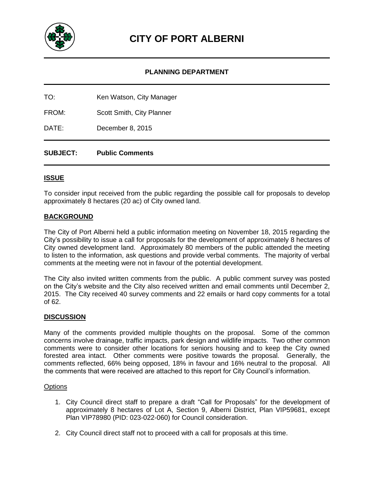

# **PLANNING DEPARTMENT**

| TO: | Ken Watson, City Manager |
|-----|--------------------------|
|     |                          |

FROM: Scott Smith, City Planner

DATE: December 8, 2015

## **SUBJECT: Public Comments**

## **ISSUE**

To consider input received from the public regarding the possible call for proposals to develop approximately 8 hectares (20 ac) of City owned land.

## **BACKGROUND**

The City of Port Alberni held a public information meeting on November 18, 2015 regarding the City's possibility to issue a call for proposals for the development of approximately 8 hectares of City owned development land. Approximately 80 members of the public attended the meeting to listen to the information, ask questions and provide verbal comments. The majority of verbal comments at the meeting were not in favour of the potential development.

The City also invited written comments from the public. A public comment survey was posted on the City's website and the City also received written and email comments until December 2, 2015. The City received 40 survey comments and 22 emails or hard copy comments for a total of 62.

#### **DISCUSSION**

Many of the comments provided multiple thoughts on the proposal. Some of the common concerns involve drainage, traffic impacts, park design and wildlife impacts. Two other common comments were to consider other locations for seniors housing and to keep the City owned forested area intact. Other comments were positive towards the proposal. Generally, the comments reflected, 66% being opposed, 18% in favour and 16% neutral to the proposal. All the comments that were received are attached to this report for City Council's information.

#### **Options**

- 1. City Council direct staff to prepare a draft "Call for Proposals" for the development of approximately 8 hectares of Lot A, Section 9, Alberni District, Plan VIP59681, except Plan VIP78980 (PID: 023-022-060) for Council consideration.
- 2. City Council direct staff not to proceed with a call for proposals at this time.